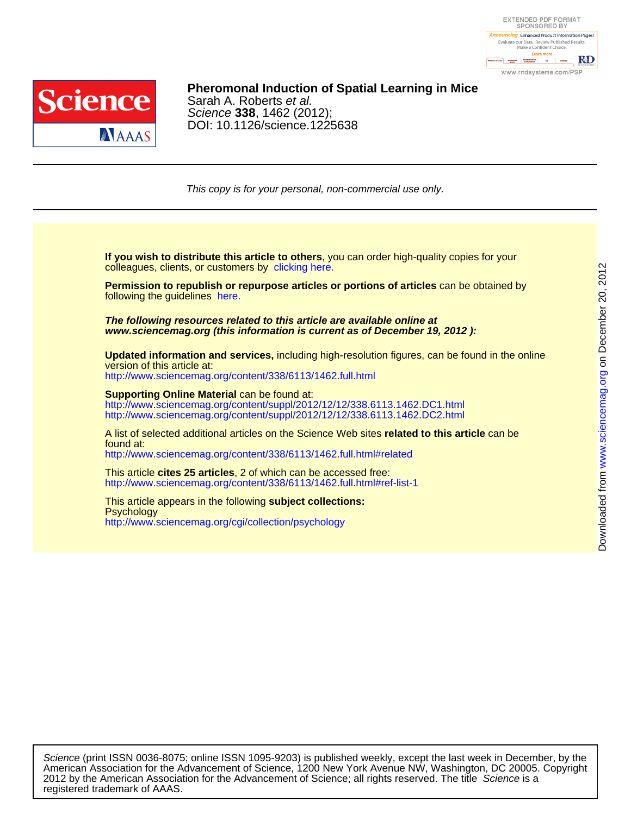



### DOI: 10.1126/science.1225638 Science **338**, 1462 (2012); Sarah A. Roberts et al. **Pheromonal Induction of Spatial Learning in Mice**

This copy is for your personal, non-commercial use only.

colleagues, clients, or customers by [clicking here.](http://www.sciencemag.org/about/permissions.dtl) **If you wish to distribute this article to others**, you can order high-quality copies for your

following the guidelines [here.](http://www.sciencemag.org/about/permissions.dtl) **Permission to republish or repurpose articles or portions of articles** can be obtained by

**www.sciencemag.org (this information is current as of December 19, 2012 ): The following resources related to this article are available online at**

version of this article at: **Updated information and services,** including high-resolution figures, can be found in the online

<http://www.sciencemag.org/content/338/6113/1462.full.html>

http://www.sciencemag.org/content/suppl/2012/12/12/338.6113.1462.DC2.html http://www.sciencemag.org/content/suppl/2012/12/12/338.6113.1462.DC1.html **Supporting Online Material** can be found at:

<http://www.sciencemag.org/content/338/6113/1462.full.html#related> found at: A list of selected additional articles on the Science Web sites **related to this article** can be

<http://www.sciencemag.org/content/338/6113/1462.full.html#ref-list-1> This article **cites 25 articles**, 2 of which can be accessed free:

<http://www.sciencemag.org/cgi/collection/psychology> **Psychology** This article appears in the following **subject collections:**

registered trademark of AAAS. 2012 by the American Association for the Advancement of Science; all rights reserved. The title Science is a American Association for the Advancement of Science, 1200 New York Avenue NW, Washington, DC 20005. Copyright Science (print ISSN 0036-8075; online ISSN 1095-9203) is published weekly, except the last week in December, by the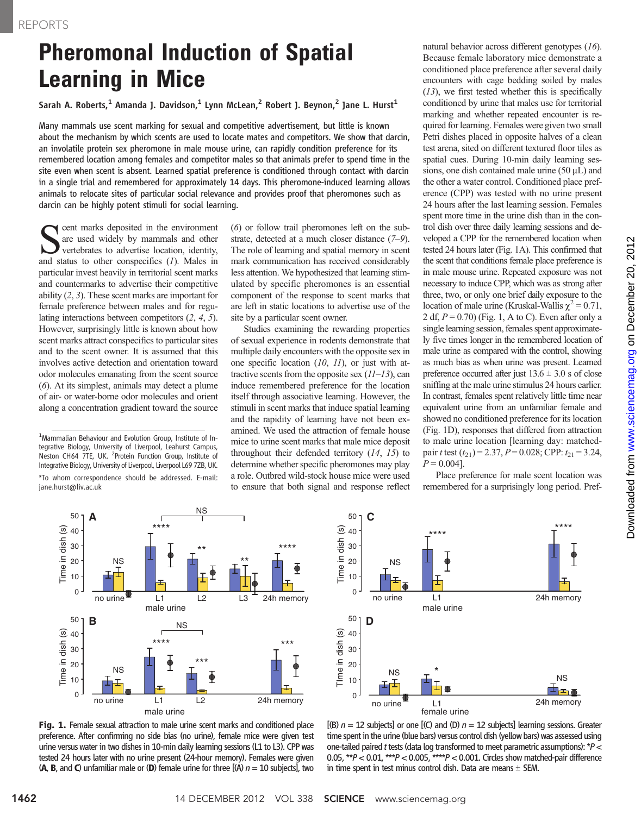# Pheromonal Induction of Spatial Learning in Mice

Sarah A. Roberts,<sup>1</sup> Amanda J. Davidson,<sup>1</sup> Lynn McLean,<sup>2</sup> Robert J. Beynon,<sup>2</sup> Jane L. Hurst<sup>1</sup>

Many mammals use scent marking for sexual and competitive advertisement, but little is known about the mechanism by which scents are used to locate mates and competitors. We show that darcin, an involatile protein sex pheromone in male mouse urine, can rapidly condition preference for its remembered location among females and competitor males so that animals prefer to spend time in the site even when scent is absent. Learned spatial preference is conditioned through contact with darcin in a single trial and remembered for approximately 14 days. This pheromone-induced learning allows animals to relocate sites of particular social relevance and provides proof that pheromones such as darcin can be highly potent stimuli for social learning.

cent marks deposited in the environment are used widely by mammals and other vertebrates to advertise location, identity, and status to other conspecifics  $(1)$ . Males in particular invest heavily in territorial scent marks and countermarks to advertise their competitive ability (2, 3). These scent marks are important for female preference between males and for regulating interactions between competitors (2, 4, 5). However, surprisingly little is known about how scent marks attract conspecifics to particular sites and to the scent owner. It is assumed that this involves active detection and orientation toward odor molecules emanating from the scent source (6). At its simplest, animals may detect a plume of air- or water-borne odor molecules and orient along a concentration gradient toward the source

(6) or follow trail pheromones left on the substrate, detected at a much closer distance (7–9). The role of learning and spatial memory in scent mark communication has received considerably less attention. We hypothesized that learning stimulated by specific pheromones is an essential component of the response to scent marks that are left in static locations to advertise use of the site by a particular scent owner.

Studies examining the rewarding properties of sexual experience in rodents demonstrate that multiple daily encounters with the opposite sex in one specific location  $(10, 11)$ , or just with attractive scents from the opposite sex  $(11-13)$ , can induce remembered preference for the location itself through associative learning. However, the stimuli in scent marks that induce spatial learning and the rapidity of learning have not been examined. We used the attraction of female house mice to urine scent marks that male mice deposit throughout their defended territory (14, 15) to determine whether specific pheromones may play a role. Outbred wild-stock house mice were used to ensure that both signal and response reflect

natural behavior across different genotypes (16). Because female laboratory mice demonstrate a conditioned place preference after several daily encounters with cage bedding soiled by males  $(13)$ , we first tested whether this is specifically conditioned by urine that males use for territorial marking and whether repeated encounter is required for learning. Females were given two small Petri dishes placed in opposite halves of a clean test arena, sited on different textured floor tiles as spatial cues. During 10-min daily learning sessions, one dish contained male urine  $(50 \mu L)$  and the other a water control. Conditioned place preference (CPP) was tested with no urine present 24 hours after the last learning session. Females spent more time in the urine dish than in the control dish over three daily learning sessions and developed a CPP for the remembered location when tested 24 hours later (Fig. 1A). This confirmed that the scent that conditions female place preference is in male mouse urine. Repeated exposure was not necessary to induce CPP, which was as strong after three, two, or only one brief daily exposure to the location of male urine (Kruskal-Wallis  $\chi^2$  = 0.71, 2 df,  $P = 0.70$ ) (Fig. 1, A to C). Even after only a single learning session, females spent approximately five times longer in the remembered location of male urine as compared with the control, showing as much bias as when urine was present. Learned preference occurred after just  $13.6 \pm 3.0$  s of close sniffing at the male urine stimulus 24 hours earlier. In contrast, females spent relatively little time near equivalent urine from an unfamiliar female and showed no conditioned preference for its location (Fig. 1D), responses that differed from attraction to male urine location [learning day: matchedpair t test  $(t_{21})$  = 2.37, P = 0.028; CPP:  $t_{21}$  = 3.24,  $P = 0.004$ ].

Place preference for male scent location was remembered for a surprisingly long period. Pref-



Fig. 1. Female sexual attraction to male urine scent marks and conditioned place preference. After confirming no side bias (no urine), female mice were given test urine versus water in two dishes in 10-min daily learning sessions (L1 to L3). CPP was tested 24 hours later with no urine present (24-hour memory). Females were given (A, B, and C) unfamiliar male or (D) female urine for three  $[(A)$   $n = 10$  subjects], two



 $[(B)$   $n = 12$  subjects] or one  $[(C)$  and  $(D)$   $n = 12$  subjects] learning sessions. Greater time spent in the urine (blue bars) versus control dish (yellow bars) was assessed using one-tailed paired t tests (data log transformed to meet parametric assumptions):  $*P <$ 0.05,  $*P < 0.01$ ,  $**P < 0.005$ ,  $***P < 0.001$ . Circles show matched-pair difference in time spent in test minus control dish. Data are means  $\pm$  SEM.

<sup>&</sup>lt;sup>1</sup>Mammalian Behaviour and Evolution Group, Institute of Integrative Biology, University of Liverpool, Leahurst Campus, Neston CH64 7TE, UK. <sup>2</sup> Protein Function Group, Institute of Integrative Biology, University of Liverpool, Liverpool L69 7ZB, UK. \*To whom correspondence should be addressed. E-mail: jane.hurst@liv.ac.uk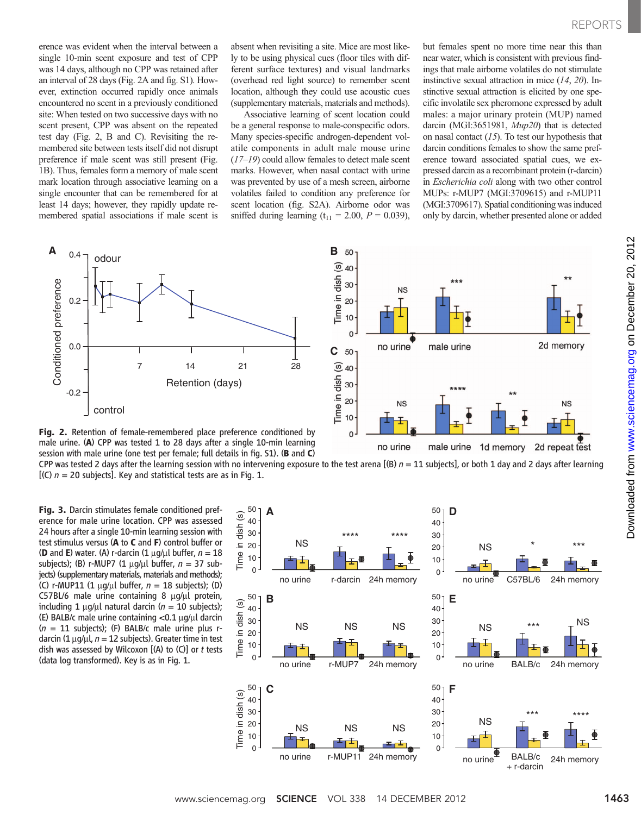erence was evident when the interval between a single 10-min scent exposure and test of CPP was 14 days, although no CPP was retained after an interval of 28 days (Fig. 2A and fig. S1). However, extinction occurred rapidly once animals encountered no scent in a previously conditioned site: When tested on two successive days with no scent present, CPP was absent on the repeated test day (Fig. 2, B and C). Revisiting the remembered site between tests itself did not disrupt preference if male scent was still present (Fig. 1B). Thus, females form a memory of male scent mark location through associative learning on a single encounter that can be remembered for at least 14 days; however, they rapidly update remembered spatial associations if male scent is

absent when revisiting a site. Mice are most likely to be using physical cues (floor tiles with different surface textures) and visual landmarks (overhead red light source) to remember scent location, although they could use acoustic cues (supplementary materials, materials and methods).

Associative learning of scent location could be a general response to male-conspecific odors. Many species-specific androgen-dependent volatile components in adult male mouse urine (17–19) could allow females to detect male scent marks. However, when nasal contact with urine was prevented by use of a mesh screen, airborne volatiles failed to condition any preference for scent location (fig. S2A). Airborne odor was sniffed during learning  $(t_{11} = 2.00, P = 0.039)$ ,

but females spent no more time near this than near water, which is consistent with previous findings that male airborne volatiles do not stimulate instinctive sexual attraction in mice (14, 20). Instinctive sexual attraction is elicited by one specific involatile sex pheromone expressed by adult males: a major urinary protein (MUP) named darcin (MGI:3651981, Mup20) that is detected on nasal contact  $(15)$ . To test our hypothesis that darcin conditions females to show the same preference toward associated spatial cues, we expressed darcin as a recombinant protein (r-darcin) in Escherichia coli along with two other control MUPs: r-MUP7 (MGI:3709615) and r-MUP11 (MGI:3709617). Spatial conditioning was induced only by darcin, whether presented alone or added





CPP was tested 2 days after the learning session with no intervening exposure to the test arena  $[(B) n = 11$  subjects], or both 1 day and 2 days after learning  $[(C)$   $n = 20$  subjects]. Key and statistical tests are as in Fig. 1.

Fig. 3. Darcin stimulates female conditioned preference for male urine location. CPP was assessed 24 hours after a single 10-min learning session with test stimulus versus (A to C and F) control buffer or **(D** and **E**) water. (A) r-darcin  $(1 \mu q / \mu l)$  buffer,  $n = 18$ subjects); (B) r-MUP7 (1  $\mu$ g/ $\mu$ l buffer, n = 37 subjects) (supplementary materials, materials and methods); (C) r-MUP11 (1  $\mu$ g/ $\mu$ l buffer, n = 18 subjects); (D) C57BL/6 male urine containing 8  $\mu$ g/ $\mu$ l protein, including 1  $\mu$ g/ $\mu$ l natural darcin (n = 10 subjects); (E) BALB/c male urine containing  $<$ 0.1  $\mu$ g/ $\mu$ l darcin  $(n = 11$  subjects); (F) BALB/c male urine plus rdarcin (1  $\mu$ g/ $\mu$ l, n = 12 subjects). Greater time in test dish was assessed by Wilcoxon  $[(A)$  to  $(C)]$  or t tests



male urine

1d memory

no urine

2d memory

**NS** 

2d repeat test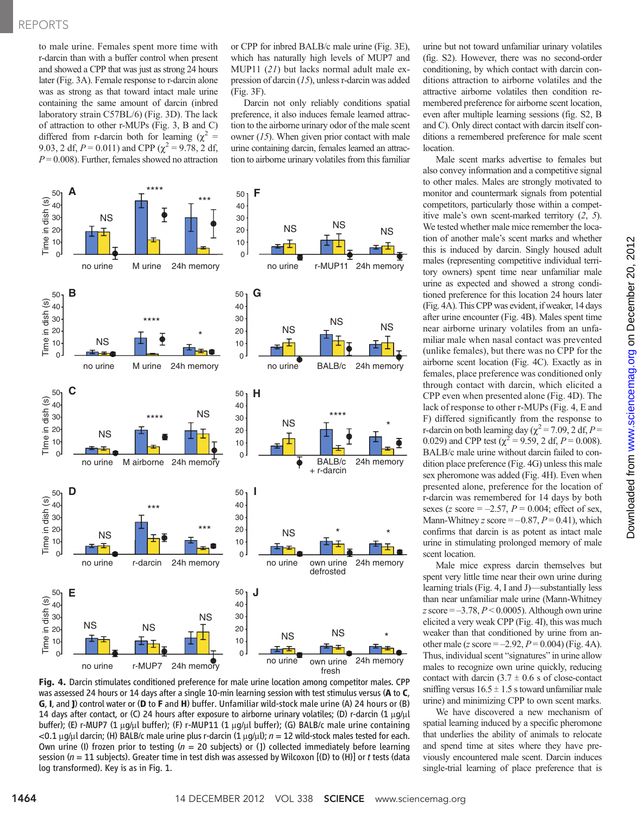to male urine. Females spent more time with r-darcin than with a buffer control when present and showed a CPP that was just as strong 24 hours later (Fig. 3A). Female response to r-darcin alone was as strong as that toward intact male urine containing the same amount of darcin (inbred laboratory strain C57BL/6) (Fig. 3D). The lack of attraction to other r-MUPs (Fig. 3, B and C) differed from r-darcin both for learning ( $\chi^2$  = 9.03, 2 df,  $P = 0.011$ ) and CPP ( $\chi^2 = 9.78$ , 2 df,  $P = 0.008$ ). Further, females showed no attraction

or CPP for inbred BALB/c male urine (Fig. 3E), which has naturally high levels of MUP7 and MUP11 (21) but lacks normal adult male expression of darcin (15), unless r-darcin was added (Fig. 3F).

Darcin not only reliably conditions spatial preference, it also induces female learned attraction to the airborne urinary odor of the male scent owner  $(15)$ . When given prior contact with male urine containing darcin, females learned an attraction to airborne urinary volatiles from this familiar



Fig. 4. Darcin stimulates conditioned preference for male urine location among competitor males. CPP was assessed 24 hours or 14 days after a single 10-min learning session with test stimulus versus (A to C, G, I, and J) control water or (D to F and H) buffer. Unfamiliar wild-stock male urine (A) 24 hours or (B) 14 days after contact, or (C) 24 hours after exposure to airborne urinary volatiles; (D) r-darcin (1  $\mu$ g/ $\mu$ l buffer); (E) r-MUP7 (1 µq/µl buffer); (F) r-MUP11 (1 µq/µl buffer); (G) BALB/c male urine containing  $<$ 0.1 µg/µl darcin; (H) BALB/c male urine plus r-darcin (1 µg/µl); n = 12 wild-stock males tested for each. Own urine (I) frozen prior to testing ( $n = 20$  subjects) or (J) collected immediately before learning session ( $n = 11$  subjects). Greater time in test dish was assessed by Wilcoxon [(D) to (H)] or t tests (data log transformed). Key is as in Fig. 1.

urine but not toward unfamiliar urinary volatiles (fig. S2). However, there was no second-order conditioning, by which contact with darcin conditions attraction to airborne volatiles and the attractive airborne volatiles then condition remembered preference for airborne scent location, even after multiple learning sessions (fig. S2, B and C). Only direct contact with darcin itself conditions a remembered preference for male scent location.

Male scent marks advertise to females but also convey information and a competitive signal to other males. Males are strongly motivated to monitor and countermark signals from potential competitors, particularly those within a competitive male's own scent-marked territory (2, 5). We tested whether male mice remember the location of another male's scent marks and whether this is induced by darcin. Singly housed adult males (representing competitive individual territory owners) spent time near unfamiliar male urine as expected and showed a strong conditioned preference for this location 24 hours later (Fig. 4A). This CPP was evident, if weaker, 14 days after urine encounter (Fig. 4B). Males spent time near airborne urinary volatiles from an unfamiliar male when nasal contact was prevented (unlike females), but there was no CPP for the airborne scent location (Fig. 4C). Exactly as in females, place preference was conditioned only through contact with darcin, which elicited a CPP even when presented alone (Fig. 4D). The lack of response to other r-MUPs (Fig. 4, E and F) differed significantly from the response to r-darcin on both learning day ( $\chi^2$  = 7.09, 2 df, *P* = 0.029) and CPP test ( $\chi^2$  = 9.59, 2 df, P = 0.008). BALB/c male urine without darcin failed to condition place preference (Fig. 4G) unless this male sex pheromone was added (Fig. 4H). Even when presented alone, preference for the location of r-darcin was remembered for 14 days by both sexes (z score  $=-2.57$ ,  $P = 0.004$ ; effect of sex, Mann-Whitney z score  $=-0.87, P=0.41$ , which confirms that darcin is as potent as intact male urine in stimulating prolonged memory of male scent location.

Male mice express darcin themselves but spent very little time near their own urine during learning trials (Fig. 4, I and J)—substantially less than near unfamiliar male urine (Mann-Whitney  $z$  score =  $-3.78$ ,  $P < 0.0005$ ). Although own urine elicited a very weak CPP (Fig. 4I), this was much weaker than that conditioned by urine from another male (z score =  $-2.92$ ,  $P = 0.004$ ) (Fig. 4A). Thus, individual scent "signatures" in urine allow males to recognize own urine quickly, reducing contact with darcin  $(3.7 \pm 0.6 \text{ s of } 6)$  s of close-contact sniffing versus  $16.5 \pm 1.5$  s toward unfamiliar male urine) and minimizing CPP to own scent marks.

We have discovered a new mechanism of spatial learning induced by a specific pheromone that underlies the ability of animals to relocate and spend time at sites where they have previously encountered male scent. Darcin induces single-trial learning of place preference that is